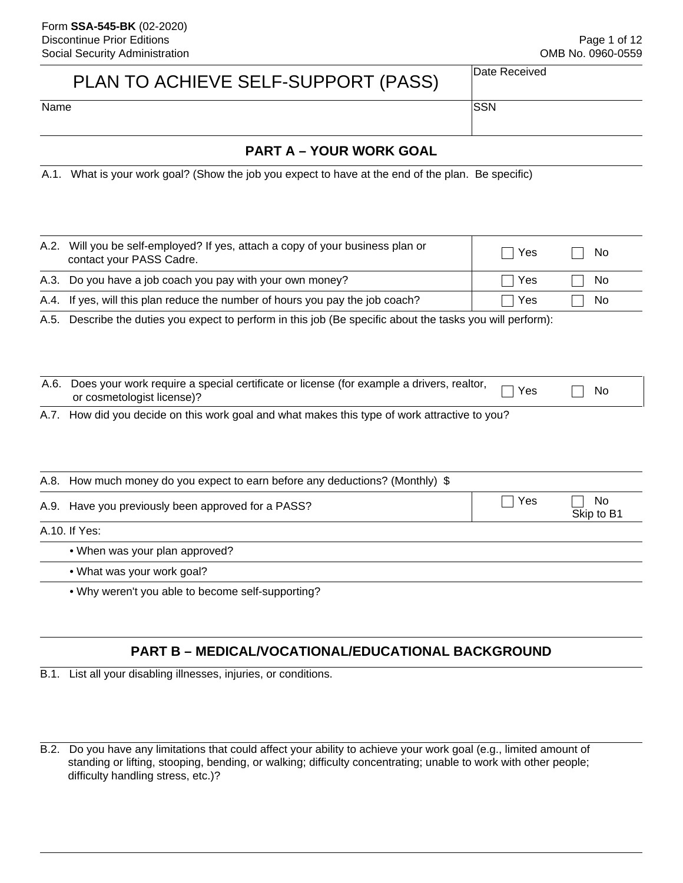Page 1 of 12 OMB No. 0960-0559

# PLAN TO ACHIEVE SELF-SUPPORT (PASS)

Date Received

Name SSN

# **PART A – YOUR WORK GOAL**

A.1. What is your work goal? (Show the job you expect to have at the end of the plan. Be specific)

|      | A.2. Will you be self-employed? If yes, attach a copy of your business plan or<br>Yes<br>contact your PASS Cadre.                   |     | No  |  |
|------|-------------------------------------------------------------------------------------------------------------------------------------|-----|-----|--|
| A.3. | Do you have a job coach you pay with your own money?                                                                                | Yes | No. |  |
| A.4. | If yes, will this plan reduce the number of hours you pay the job coach?                                                            | Yes | No. |  |
| A.5. | Describe the duties you expect to perform in this job (Be specific about the tasks you will perform):                               |     |     |  |
| A.6. | Does your work require a special certificate or license (for example a drivers, realtor,<br>No<br>Yes<br>or cosmetologist license)? |     |     |  |
| A.7. | How did you decide on this work goal and what makes this type of work attractive to you?                                            |     |     |  |
| A.8. | How much money do you expect to earn before any deductions? (Monthly) \$                                                            |     |     |  |
|      | Yes<br>No<br>A.9. Have you previously been approved for a PASS?<br>Skip to B1                                                       |     |     |  |
|      | A.10. If Yes:                                                                                                                       |     |     |  |
|      | • When was your plan approved?                                                                                                      |     |     |  |
|      | • What was your work goal?                                                                                                          |     |     |  |
|      | . Why weren't you able to become self-supporting?                                                                                   |     |     |  |

# **PART B – MEDICAL/VOCATIONAL/EDUCATIONAL BACKGROUND**

B.1. List all your disabling illnesses, injuries, or conditions.

B.2. Do you have any limitations that could affect your ability to achieve your work goal (e.g., limited amount of standing or lifting, stooping, bending, or walking; difficulty concentrating; unable to work with other people; difficulty handling stress, etc.)?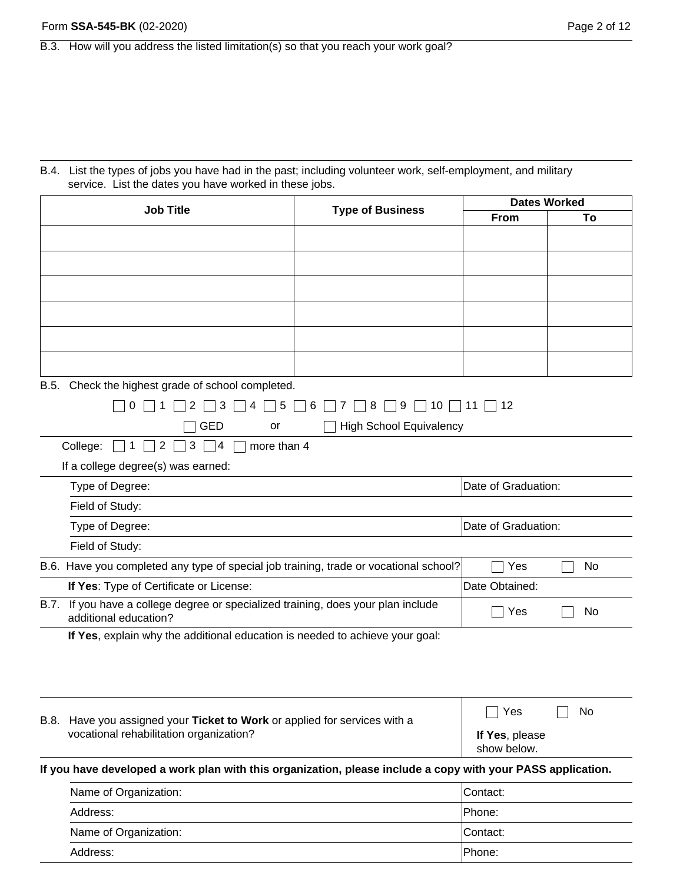B.4. List the types of jobs you have had in the past; including volunteer work, self-employment, and military service. List the dates you have worked in these jobs.

| <b>Job Title</b>      | <b>Type of Business</b>                                                                                     | <b>Dates Worked</b>            |                            |    |
|-----------------------|-------------------------------------------------------------------------------------------------------------|--------------------------------|----------------------------|----|
|                       |                                                                                                             |                                | From                       | То |
|                       |                                                                                                             |                                |                            |    |
|                       |                                                                                                             |                                |                            |    |
|                       |                                                                                                             |                                |                            |    |
|                       |                                                                                                             |                                |                            |    |
|                       |                                                                                                             |                                |                            |    |
|                       |                                                                                                             |                                |                            |    |
|                       |                                                                                                             |                                |                            |    |
|                       |                                                                                                             |                                |                            |    |
| B.5.                  | Check the highest grade of school completed.                                                                |                                |                            |    |
|                       | 3<br>5<br>2<br>4<br>O                                                                                       | 9<br>6<br>8<br>7               | $10 \square 11 \square 12$ |    |
|                       | <b>GED</b><br>or                                                                                            | <b>High School Equivalency</b> |                            |    |
|                       | College:<br>$\overline{2}$<br>more than 4<br>3<br>$\vert$ 1<br>4                                            |                                |                            |    |
|                       | If a college degree(s) was earned:                                                                          |                                |                            |    |
|                       | Type of Degree:                                                                                             |                                | Date of Graduation:        |    |
|                       | Field of Study:                                                                                             |                                |                            |    |
|                       | Type of Degree:                                                                                             |                                | Date of Graduation:        |    |
|                       | Field of Study:                                                                                             |                                |                            |    |
|                       | B.6. Have you completed any type of special job training, trade or vocational school?                       |                                | Yes                        | No |
|                       | If Yes: Type of Certificate or License:                                                                     |                                | Date Obtained:             |    |
| B.7.                  | If you have a college degree or specialized training, does your plan include<br>additional education?       |                                | Yes                        | No |
|                       | If Yes, explain why the additional education is needed to achieve your goal:                                |                                |                            |    |
|                       |                                                                                                             |                                |                            |    |
|                       |                                                                                                             |                                |                            |    |
|                       |                                                                                                             |                                |                            |    |
|                       | B.8. Have you assigned your Ticket to Work or applied for services with a                                   |                                | Yes<br>No                  |    |
|                       | vocational rehabilitation organization?                                                                     |                                |                            |    |
|                       | If you have developed a work plan with this organization, please include a copy with your PASS application. |                                |                            |    |
|                       | Name of Organization:                                                                                       |                                | Contact:                   |    |
|                       | Address:                                                                                                    |                                | Phone:                     |    |
| Name of Organization: |                                                                                                             |                                | Contact:                   |    |

Address: Phone: Phone: Phone: Phone: Phone: Phone: Phone: Phone: Phone: Phone: Phone: Phone: Phone: Phone: Phone: Phone: Phone: Phone: Phone: Phone: Phone: Phone: Phone: Phone: Phone: Phone: Phone: Phone: Phone: Phone: Pho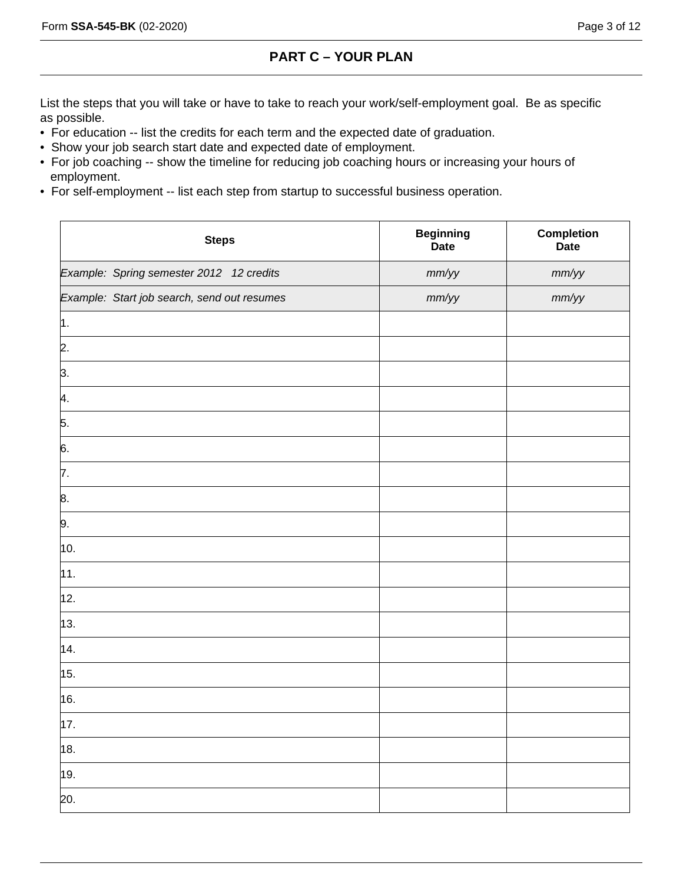# **PART C – YOUR PLAN**

List the steps that you will take or have to take to reach your work/self-employment goal. Be as specific as possible.

- For education -- list the credits for each term and the expected date of graduation.
- Show your job search start date and expected date of employment.
- For job coaching -- show the timeline for reducing job coaching hours or increasing your hours of employment.
- For self-employment -- list each step from startup to successful business operation.

| <b>Steps</b>                                | <b>Beginning</b><br><b>Date</b> | Completion<br><b>Date</b> |
|---------------------------------------------|---------------------------------|---------------------------|
| Example: Spring semester 2012 12 credits    | mm/yy                           | mm/yy                     |
| Example: Start job search, send out resumes | mm/yy                           | mm/yy                     |
| μ.                                          |                                 |                           |
| 2.                                          |                                 |                           |
| 3.                                          |                                 |                           |
| þ.                                          |                                 |                           |
| 5.                                          |                                 |                           |
| 6.                                          |                                 |                           |
| 7.                                          |                                 |                           |
| 8.                                          |                                 |                           |
| 9.                                          |                                 |                           |
| 10.                                         |                                 |                           |
| 11.                                         |                                 |                           |
| 12.                                         |                                 |                           |
| 13.                                         |                                 |                           |
| 14.                                         |                                 |                           |
| 15.                                         |                                 |                           |
| 16.                                         |                                 |                           |
| 17.                                         |                                 |                           |
| 18.                                         |                                 |                           |
| 19.                                         |                                 |                           |
| 20.                                         |                                 |                           |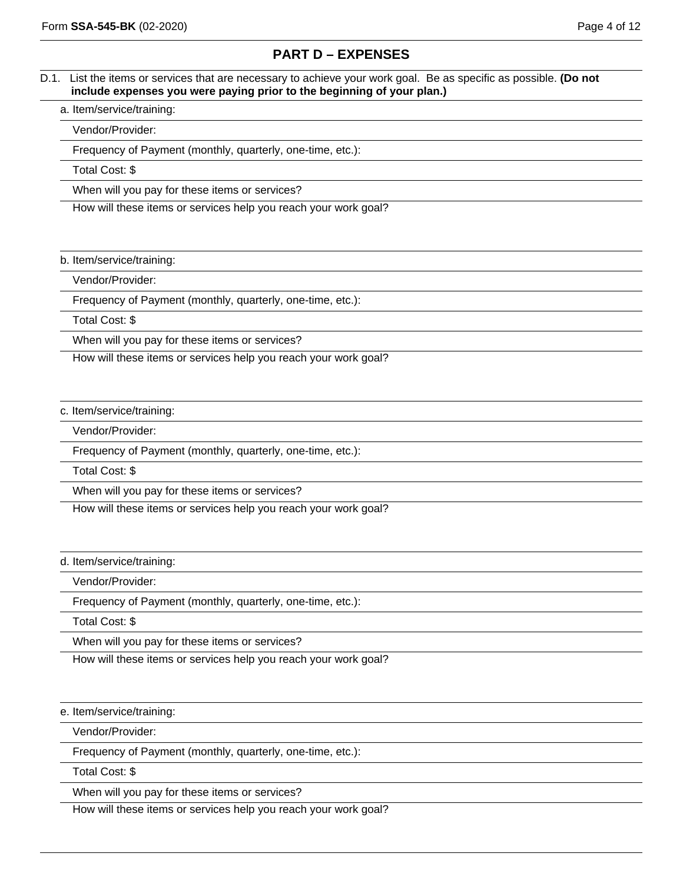# **PART D – EXPENSES**

### D.1. List the items or services that are necessary to achieve your work goal. Be as specific as possible. **(Do not include expenses you were paying prior to the beginning of your plan.)**

### a. Item/service/training:

Vendor/Provider:

Frequency of Payment (monthly, quarterly, one-time, etc.):

Total Cost: \$

When will you pay for these items or services?

How will these items or services help you reach your work goal?

### b. Item/service/training:

Vendor/Provider:

Frequency of Payment (monthly, quarterly, one-time, etc.):

Total Cost: \$

When will you pay for these items or services?

How will these items or services help you reach your work goal?

### c. Item/service/training:

Vendor/Provider:

Frequency of Payment (monthly, quarterly, one-time, etc.):

Total Cost: \$

When will you pay for these items or services?

How will these items or services help you reach your work goal?

### d. Item/service/training:

Vendor/Provider:

Frequency of Payment (monthly, quarterly, one-time, etc.):

Total Cost: \$

When will you pay for these items or services?

How will these items or services help you reach your work goal?

### e. Item/service/training:

Vendor/Provider:

Frequency of Payment (monthly, quarterly, one-time, etc.):

Total Cost: \$

When will you pay for these items or services?

How will these items or services help you reach your work goal?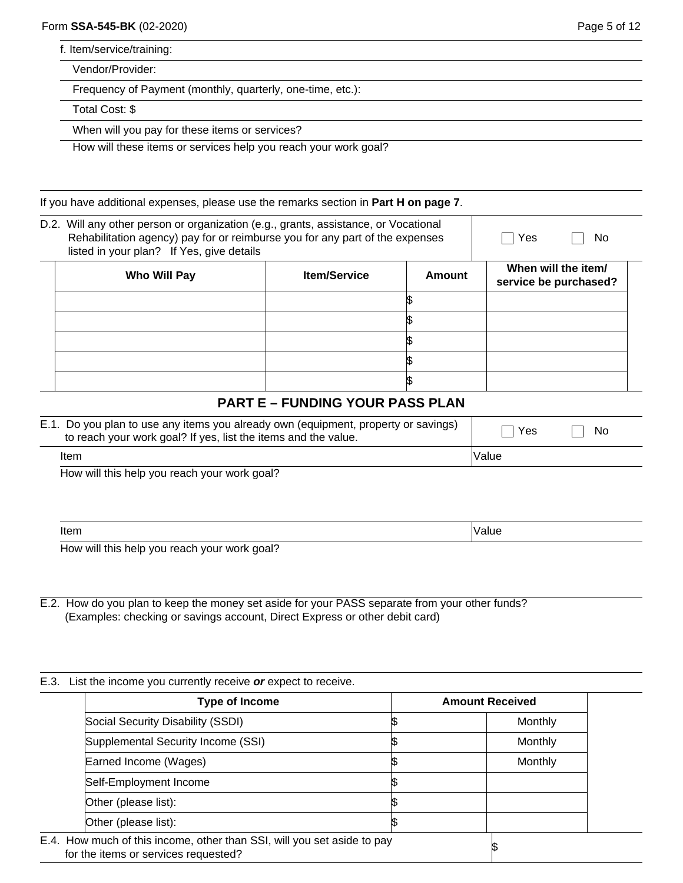f. Item/service/training:

Vendor/Provider:

Frequency of Payment (monthly, quarterly, one-time, etc.):

Total Cost: \$

When will you pay for these items or services?

How will these items or services help you reach your work goal?

If you have additional expenses, please use the remarks section in **Part H on page 7**.

| D.2. Will any other person or organization (e.g., grants, assistance, or Vocational<br>Rehabilitation agency) pay for or reimburse you for any part of the expenses<br>listed in your plan? If Yes, give details |                     |        | Yes<br>No                                    |  |
|------------------------------------------------------------------------------------------------------------------------------------------------------------------------------------------------------------------|---------------------|--------|----------------------------------------------|--|
| Who Will Pay                                                                                                                                                                                                     | <b>Item/Service</b> | Amount | When will the item/<br>service be purchased? |  |
|                                                                                                                                                                                                                  |                     |        |                                              |  |
|                                                                                                                                                                                                                  |                     |        |                                              |  |
|                                                                                                                                                                                                                  |                     |        |                                              |  |
|                                                                                                                                                                                                                  |                     |        |                                              |  |
|                                                                                                                                                                                                                  |                     |        |                                              |  |

# **PART E – FUNDING YOUR PASS PLAN**

| E.1. Do you plan to use any items you already own (equipment, property or savings)<br>to reach your work goal? If yes, list the items and the value. |                     | <b>No</b> |
|------------------------------------------------------------------------------------------------------------------------------------------------------|---------------------|-----------|
| Item                                                                                                                                                 | <i><b>Value</b></i> |           |

How will this help you reach your work goal?

| 11 U                                                 | . |
|------------------------------------------------------|---|
| the Middle ball of search a search and seal <b>A</b> |   |

How will this help you reach your work goal?

E.2. How do you plan to keep the money set aside for your PASS separate from your other funds? (Examples: checking or savings account, Direct Express or other debit card)

### E.3. List the income you currently receive *or* expect to receive.

| <b>Type of Income</b>                                                                                           | <b>Amount Received</b> |
|-----------------------------------------------------------------------------------------------------------------|------------------------|
| Social Security Disability (SSDI)                                                                               | Monthly                |
| Supplemental Security Income (SSI)                                                                              | Monthly                |
| Earned Income (Wages)                                                                                           | Monthly                |
| Self-Employment Income                                                                                          |                        |
| Other (please list):                                                                                            |                        |
| Other (please list):                                                                                            |                        |
| E.4. How much of this income, other than SSI, will you set aside to pay<br>for the items or services requested? |                        |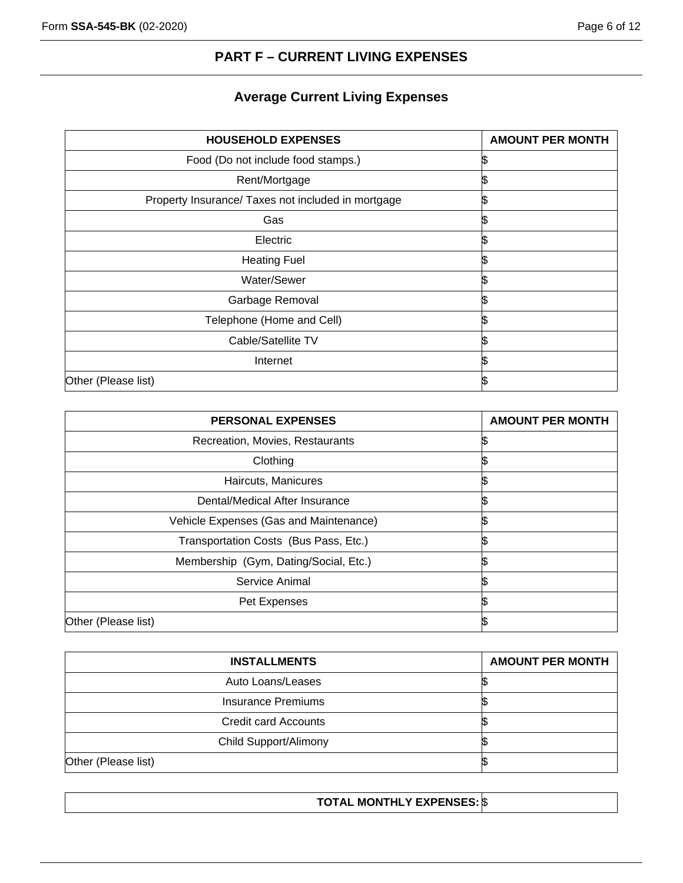# **PART F – CURRENT LIVING EXPENSES**

# **Average Current Living Expenses**

| <b>HOUSEHOLD EXPENSES</b>                          | <b>AMOUNT PER MONTH</b> |
|----------------------------------------------------|-------------------------|
| Food (Do not include food stamps.)                 |                         |
| Rent/Mortgage                                      |                         |
| Property Insurance/ Taxes not included in mortgage |                         |
| Gas                                                |                         |
| Electric                                           |                         |
| <b>Heating Fuel</b>                                |                         |
| Water/Sewer                                        |                         |
| Garbage Removal                                    |                         |
| Telephone (Home and Cell)                          |                         |
| Cable/Satellite TV                                 |                         |
| Internet                                           |                         |
| Other (Please list)                                |                         |

| <b>PERSONAL EXPENSES</b>               | <b>AMOUNT PER MONTH</b> |
|----------------------------------------|-------------------------|
| Recreation, Movies, Restaurants        |                         |
| Clothing                               |                         |
| Haircuts, Manicures                    |                         |
| Dental/Medical After Insurance         |                         |
| Vehicle Expenses (Gas and Maintenance) |                         |
| Transportation Costs (Bus Pass, Etc.)  |                         |
| Membership (Gym, Dating/Social, Etc.)  |                         |
| Service Animal                         |                         |
| Pet Expenses                           |                         |
| Other (Please list)                    |                         |

| <b>INSTALLMENTS</b>   | <b>AMOUNT PER MONTH</b> |
|-----------------------|-------------------------|
| Auto Loans/Leases     |                         |
| Insurance Premiums    |                         |
| Credit card Accounts  |                         |
| Child Support/Alimony |                         |
| Other (Please list)   |                         |

# **TOTAL MONTHLY EXPENSES:** \$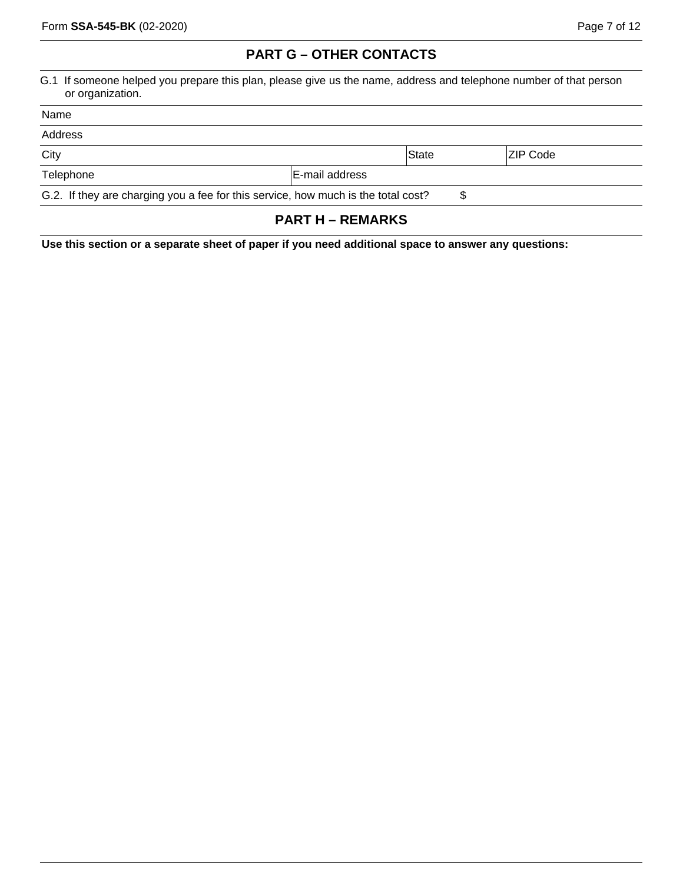# **PART G – OTHER CONTACTS**

G.1 If someone helped you prepare this plan, please give us the name, address and telephone number of that person or organization.

| Name      |                                                                                   |       |           |
|-----------|-----------------------------------------------------------------------------------|-------|-----------|
| Address   |                                                                                   |       |           |
| City      |                                                                                   | State | IZIP Code |
| Telephone | E-mail address                                                                    |       |           |
|           | G.2. If they are charging you a fee for this service, how much is the total cost? | S     |           |
|           |                                                                                   |       |           |

# **PART H – REMARKS**

**Use this section or a separate sheet of paper if you need additional space to answer any questions:**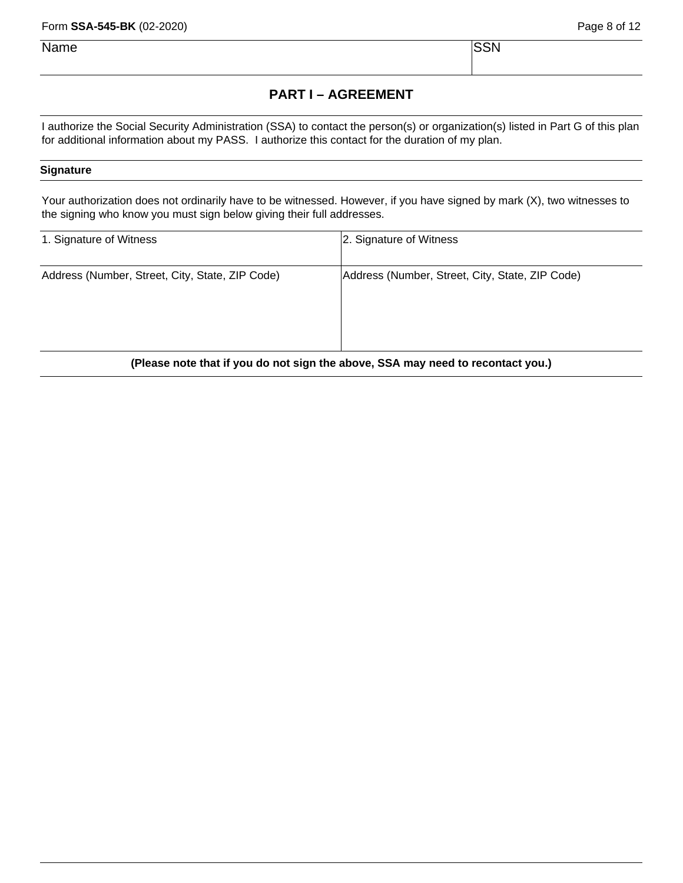Form **SSA-545-BK** (02-2020)

Name Security is a set of the security of the SSN SSN  $\sim$ 

# **PART I – AGREEMENT**

I authorize the Social Security Administration (SSA) to contact the person(s) or organization(s) listed in Part G of this plan for additional information about my PASS. I authorize this contact for the duration of my plan.

### **Signature**

Your authorization does not ordinarily have to be witnessed. However, if you have signed by mark (X), two witnesses to the signing who know you must sign below giving their full addresses.

| 1. Signature of Witness                                                         | 2. Signature of Witness                         |  |
|---------------------------------------------------------------------------------|-------------------------------------------------|--|
| Address (Number, Street, City, State, ZIP Code)                                 | Address (Number, Street, City, State, ZIP Code) |  |
| (Please note that if you do not sign the above, SSA may need to recontact you.) |                                                 |  |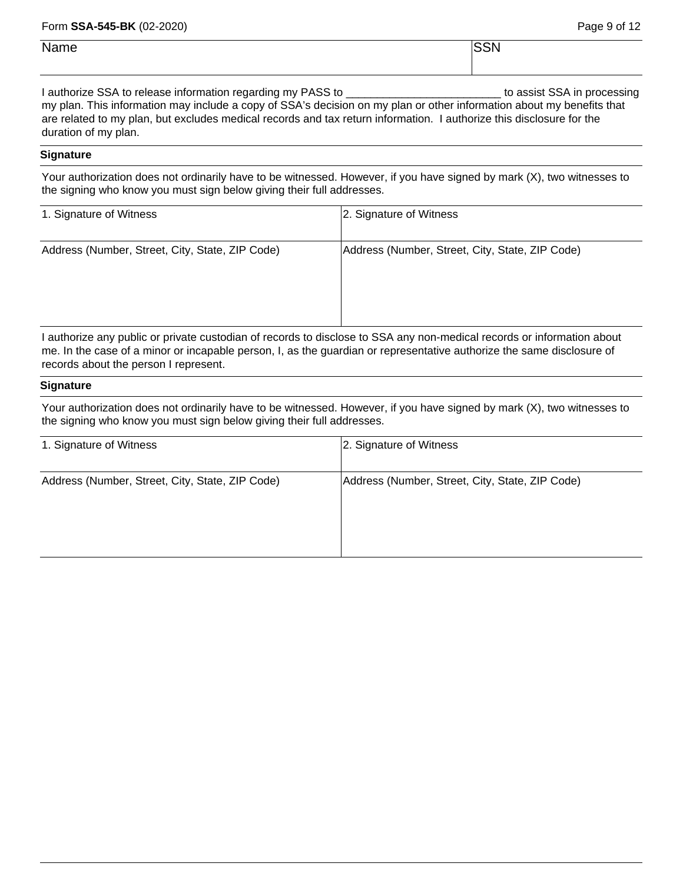### Page 9 of 12

| Name | $\sim$<br>the contract of the contract of the |
|------|-----------------------------------------------|
|      |                                               |

I authorize SSA to release information regarding my PASS to \_\_\_\_\_\_\_\_\_\_\_\_\_\_\_\_\_\_\_\_\_\_\_\_\_\_\_\_ to assist SSA in processing my plan. This information may include a copy of SSA's decision on my plan or other information about my benefits that are related to my plan, but excludes medical records and tax return information. I authorize this disclosure for the duration of my plan.

### **Signature**

Your authorization does not ordinarily have to be witnessed. However, if you have signed by mark (X), two witnesses to the signing who know you must sign below giving their full addresses.

| 1. Signature of Witness                         | 2. Signature of Witness                                                                                                  |  |  |  |
|-------------------------------------------------|--------------------------------------------------------------------------------------------------------------------------|--|--|--|
| Address (Number, Street, City, State, ZIP Code) | Address (Number, Street, City, State, ZIP Code)                                                                          |  |  |  |
|                                                 | Loutherine any multiple anniverse acceptance dependent displace to COA payment associated research on information operat |  |  |  |

I authorize any public or private custodian of records to disclose to SSA any non-medical records or information about me. In the case of a minor or incapable person, I, as the guardian or representative authorize the same disclosure of records about the person I represent.

### **Signature**

Your authorization does not ordinarily have to be witnessed. However, if you have signed by mark (X), two witnesses to the signing who know you must sign below giving their full addresses.

| 1. Signature of Witness                         | 2. Signature of Witness                         |
|-------------------------------------------------|-------------------------------------------------|
| Address (Number, Street, City, State, ZIP Code) | Address (Number, Street, City, State, ZIP Code) |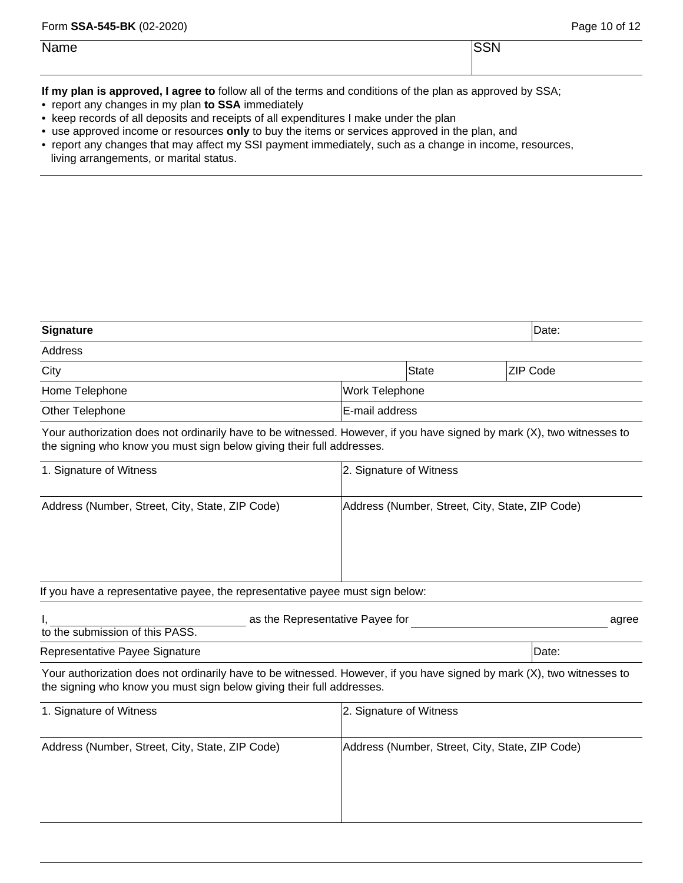| Name | <b>SSN</b> |
|------|------------|
|      |            |

**If my plan is approved, I agree to** follow all of the terms and conditions of the plan as approved by SSA;

- report any changes in my plan **to SSA** immediately
- keep records of all deposits and receipts of all expenditures I make under the plan
- use approved income or resources **only** to buy the items or services approved in the plan, and
- report any changes that may affect my SSI payment immediately, such as a change in income, resources, living arrangements, or marital status.

| <b>Signature</b>                                                                                                                                                                                |                                                 |                                                 |  | Date:           |  |
|-------------------------------------------------------------------------------------------------------------------------------------------------------------------------------------------------|-------------------------------------------------|-------------------------------------------------|--|-----------------|--|
| <b>Address</b>                                                                                                                                                                                  |                                                 |                                                 |  |                 |  |
| City                                                                                                                                                                                            |                                                 | <b>State</b>                                    |  | <b>ZIP Code</b> |  |
| Home Telephone                                                                                                                                                                                  | Work Telephone                                  |                                                 |  |                 |  |
| Other Telephone                                                                                                                                                                                 | E-mail address                                  |                                                 |  |                 |  |
| Your authorization does not ordinarily have to be witnessed. However, if you have signed by mark (X), two witnesses to<br>the signing who know you must sign below giving their full addresses. |                                                 |                                                 |  |                 |  |
| 1. Signature of Witness                                                                                                                                                                         | 2. Signature of Witness                         |                                                 |  |                 |  |
| Address (Number, Street, City, State, ZIP Code)                                                                                                                                                 |                                                 | Address (Number, Street, City, State, ZIP Code) |  |                 |  |
| If you have a representative payee, the representative payee must sign below:                                                                                                                   |                                                 |                                                 |  |                 |  |
| as the Representative Payee for<br>to the submission of this PASS.                                                                                                                              |                                                 |                                                 |  | agree           |  |
| Representative Payee Signature                                                                                                                                                                  |                                                 |                                                 |  | Date:           |  |
| Your authorization does not ordinarily have to be witnessed. However, if you have signed by mark (X), two witnesses to<br>the signing who know you must sign below giving their full addresses. |                                                 |                                                 |  |                 |  |
| 1. Signature of Witness                                                                                                                                                                         | 2. Signature of Witness                         |                                                 |  |                 |  |
| Address (Number, Street, City, State, ZIP Code)                                                                                                                                                 | Address (Number, Street, City, State, ZIP Code) |                                                 |  |                 |  |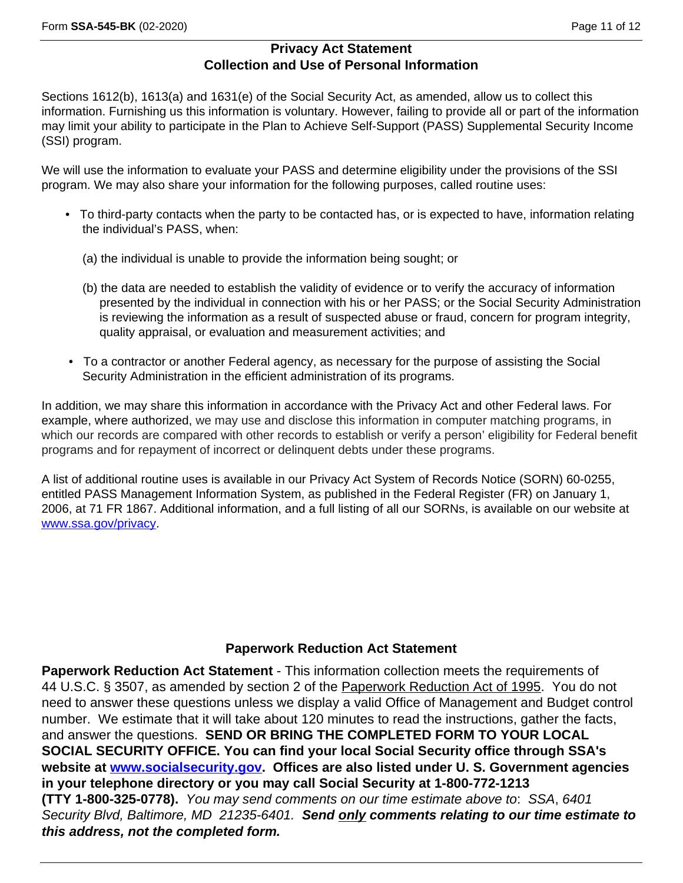Sections 1612(b), 1613(a) and 1631(e) of the Social Security Act, as amended, allow us to collect this information. Furnishing us this information is voluntary. However, failing to provide all or part of the information may limit your ability to participate in the Plan to Achieve Self-Support (PASS) Supplemental Security Income (SSI) program.

We will use the information to evaluate your PASS and determine eligibility under the provisions of the SSI program. We may also share your information for the following purposes, called routine uses:

- To third-party contacts when the party to be contacted has, or is expected to have, information relating the individual's PASS, when:
	- (a) the individual is unable to provide the information being sought; or
	- (b) the data are needed to establish the validity of evidence or to verify the accuracy of information presented by the individual in connection with his or her PASS; or the Social Security Administration is reviewing the information as a result of suspected abuse or fraud, concern for program integrity, quality appraisal, or evaluation and measurement activities; and
- To a contractor or another Federal agency, as necessary for the purpose of assisting the Social Security Administration in the efficient administration of its programs.

In addition, we may share this information in accordance with the Privacy Act and other Federal laws. For example, where authorized, we may use and disclose this information in computer matching programs, in which our records are compared with other records to establish or verify a person' eligibility for Federal benefit programs and for repayment of incorrect or delinquent debts under these programs.

A list of additional routine uses is available in our Privacy Act System of Records Notice (SORN) 60-0255, entitled PASS Management Information System, as published in the Federal Register (FR) on January 1, 2006, at 71 FR 1867. Additional information, and a full listing of all our SORNs, is available on our website at [www.ssa.gov/privacy.](www.ssa.gov/privacy)

# **Paperwork Reduction Act Statement**

**Paperwork Reduction Act Statement** - This information collection meets the requirements of 44 U.S.C. § 3507, as amended by section 2 of the Paperwork Reduction Act of 1995. You do not need to answer these questions unless we display a valid Office of Management and Budget control number. We estimate that it will take about 120 minutes to read the instructions, gather the facts, and answer the questions. **SEND OR BRING THE COMPLETED FORM TO YOUR LOCAL SOCIAL SECURITY OFFICE. You can find your local Social Security office through SSA's website at [www.socialsecurity.gov.](http://www.socialsecurity.gov) Offices are also listed under U. S. Government agencies in your telephone directory or you may call Social Security at 1-800-772-1213 (TTY 1-800-325-0778).** *You may send comments on our time estimate above to*: *SSA*, *6401 Security Blvd, Baltimore, MD 21235-6401. Send only comments relating to our time estimate to this address, not the completed form.*